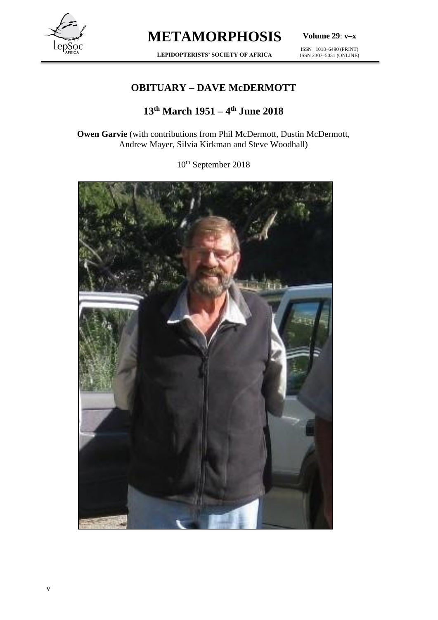

**Volume 29**: **v–x**

**LEPIDOPTERISTS' SOCIETY OF AFRICA**

ISSN 1018–6490 (PRINT) ISSN 2307–5031 (ONLINE)

### **OBITUARY – DAVE McDERMOTT**

### **13th March 1951 – 4 th June 2018**

**Owen Garvie** (with contributions from Phil McDermott, Dustin McDermott, Andrew Mayer, Silvia Kirkman and Steve Woodhall)

10th September 2018

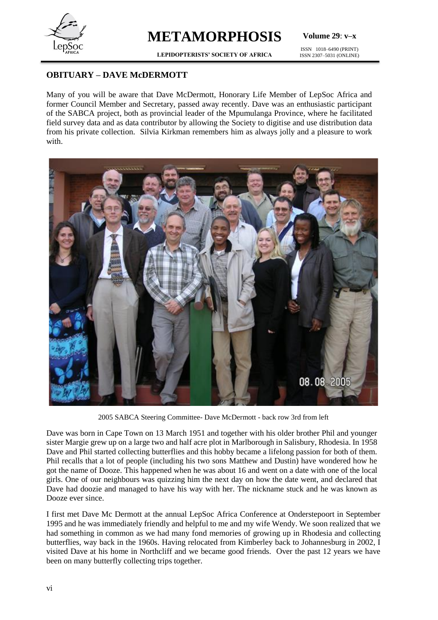

**Volume 29**: **v–x**

**LEPIDOPTERISTS' SOCIETY OF AFRICA**

ISSN 1018–6490 (PRINT) ISSN 2307–5031 (ONLINE)

#### **OBITUARY – DAVE McDERMOTT**

Many of you will be aware that Dave McDermott, Honorary Life Member of LepSoc Africa and former Council Member and Secretary, passed away recently. Dave was an enthusiastic participant of the SABCA project, both as provincial leader of the Mpumulanga Province, where he facilitated field survey data and as data contributor by allowing the Society to digitise and use distribution data from his private collection. Silvia Kirkman remembers him as always jolly and a pleasure to work with.



2005 SABCA Steering Committee- Dave McDermott - back row 3rd from left

Dave was born in Cape Town on 13 March 1951 and together with his older brother Phil and younger sister Margie grew up on a large two and half acre plot in Marlborough in Salisbury, Rhodesia. In 1958 Dave and Phil started collecting butterflies and this hobby became a lifelong passion for both of them. Phil recalls that a lot of people (including his two sons Matthew and Dustin) have wondered how he got the name of Dooze. This happened when he was about 16 and went on a date with one of the local girls. One of our neighbours was quizzing him the next day on how the date went, and declared that Dave had doozie and managed to have his way with her. The nickname stuck and he was known as Dooze ever since.

I first met Dave Mc Dermott at the annual LepSoc Africa Conference at Onderstepoort in September 1995 and he was immediately friendly and helpful to me and my wife Wendy. We soon realized that we had something in common as we had many fond memories of growing up in Rhodesia and collecting butterflies, way back in the 1960s. Having relocated from Kimberley back to Johannesburg in 2002, I visited Dave at his home in Northcliff and we became good friends. Over the past 12 years we have been on many butterfly collecting trips together.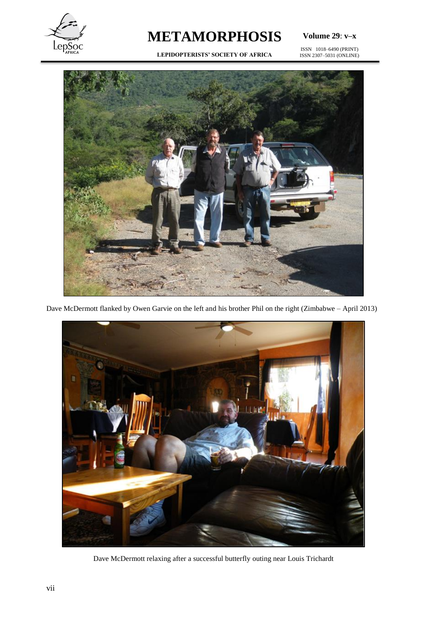

**Volume 29**: **v–x**

**LEPIDOPTERISTS' SOCIETY OF AFRICA**

ISSN 1018–6490 (PRINT) ISSN 2307–5031 (ONLINE)



Dave McDermott flanked by Owen Garvie on the left and his brother Phil on the right (Zimbabwe – April 2013)



Dave McDermott relaxing after a successful butterfly outing near Louis Trichardt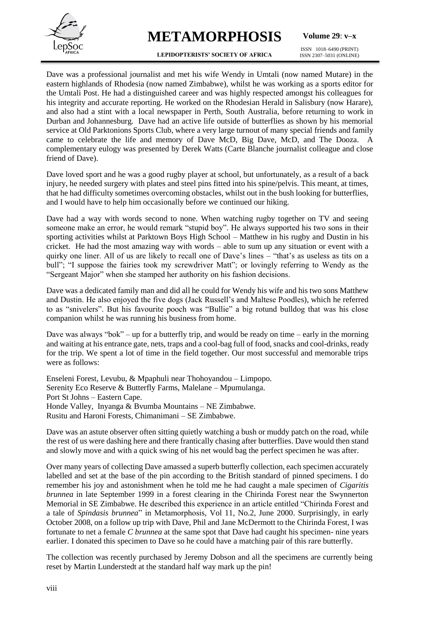

**Volume 29**: **v–x**

**LEPIDOPTERISTS' SOCIETY OF AFRICA**

ISSN 1018–6490 (PRINT) ISSN 2307–5031 (ONLINE)

Dave was a professional journalist and met his wife Wendy in Umtali (now named Mutare) in the eastern highlands of Rhodesia (now named Zimbabwe), whilst he was working as a sports editor for the Umtali Post. He had a distinguished career and was highly respected amongst his colleagues for his integrity and accurate reporting. He worked on the Rhodesian Herald in Salisbury (now Harare), and also had a stint with a local newspaper in Perth, South Australia, before returning to work in Durban and Johannesburg. Dave had an active life outside of butterflies as shown by his memorial service at Old Parktonions Sports Club, where a very large turnout of many special friends and family came to celebrate the life and memory of Dave McD, Big Dave, McD, and The Dooza. A complementary eulogy was presented by Derek Watts (Carte Blanche journalist colleague and close friend of Dave).

Dave loved sport and he was a good rugby player at school, but unfortunately, as a result of a back injury, he needed surgery with plates and steel pins fitted into his spine/pelvis. This meant, at times, that he had difficulty sometimes overcoming obstacles, whilst out in the bush looking for butterflies, and I would have to help him occasionally before we continued our hiking.

Dave had a way with words second to none. When watching rugby together on TV and seeing someone make an error, he would remark "stupid boy". He always supported his two sons in their sporting activities whilst at Parktown Boys High School – Matthew in his rugby and Dustin in his cricket. He had the most amazing way with words – able to sum up any situation or event with a quirky one liner. All of us are likely to recall one of Dave's lines – "that's as useless as tits on a bull"; "I suppose the fairies took my screwdriver Matt"; or lovingly referring to Wendy as the "Sergeant Major" when she stamped her authority on his fashion decisions.

Dave was a dedicated family man and did all he could for Wendy his wife and his two sons Matthew and Dustin. He also enjoyed the five dogs (Jack Russell's and Maltese Poodles), which he referred to as "snivelers". But his favourite pooch was "Bullie" a big rotund bulldog that was his close companion whilst he was running his business from home.

Dave was always "bok" – up for a butterfly trip, and would be ready on time – early in the morning and waiting at his entrance gate, nets, traps and a cool-bag full of food, snacks and cool-drinks, ready for the trip. We spent a lot of time in the field together. Our most successful and memorable trips were as follows:

Enseleni Forest, Levubu, & Mpaphuli near Thohoyandou – Limpopo. Serenity Eco Reserve & Butterfly Farms, Malelane – Mpumulanga. Port St Johns – Eastern Cape. Honde Valley, Inyanga & Bvumba Mountains – NE Zimbabwe. Rusitu and Haroni Forests, Chimanimani – SE Zimbabwe.

Dave was an astute observer often sitting quietly watching a bush or muddy patch on the road, while the rest of us were dashing here and there frantically chasing after butterflies. Dave would then stand and slowly move and with a quick swing of his net would bag the perfect specimen he was after.

Over many years of collecting Dave amassed a superb butterfly collection, each specimen accurately labelled and set at the base of the pin according to the British standard of pinned specimens. I do remember his joy and astonishment when he told me he had caught a male specimen of *Cigaritis brunnea* in late September 1999 in a forest clearing in the Chirinda Forest near the Swynnerton Memorial in SE Zimbabwe. He described this experience in an article entitled "Chirinda Forest and a tale of *Spindasis brunnea*" in Metamorphosis, Vol 11, No.2, June 2000. Surprisingly, in early October 2008, on a follow up trip with Dave, Phil and Jane McDermott to the Chirinda Forest, I was fortunate to net a female *C brunnea* at the same spot that Dave had caught his specimen- nine years earlier. I donated this specimen to Dave so he could have a matching pair of this rare butterfly.

The collection was recently purchased by Jeremy Dobson and all the specimens are currently being reset by Martin Lunderstedt at the standard half way mark up the pin!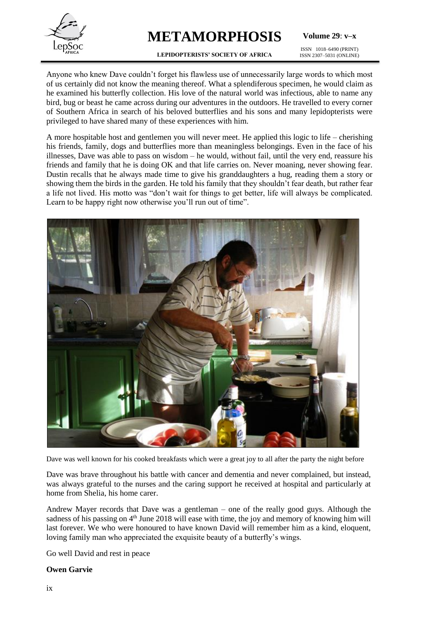

**Volume 29**: **v–x**

**LEPIDOPTERISTS' SOCIETY OF AFRICA** ISSN 1018–6490 (PRINT) ISSN 2307–5031 (ONLINE)

Anyone who knew Dave couldn't forget his flawless use of unnecessarily large words to which most of us certainly did not know the meaning thereof. What a splendiferous specimen, he would claim as he examined his butterfly collection. His love of the natural world was infectious, able to name any bird, bug or beast he came across during our adventures in the outdoors. He travelled to every corner of Southern Africa in search of his beloved butterflies and his sons and many lepidopterists were privileged to have shared many of these experiences with him.

A more hospitable host and gentlemen you will never meet. He applied this logic to life – cherishing his friends, family, dogs and butterflies more than meaningless belongings. Even in the face of his illnesses, Dave was able to pass on wisdom – he would, without fail, until the very end, reassure his friends and family that he is doing OK and that life carries on. Never moaning, never showing fear. Dustin recalls that he always made time to give his granddaughters a hug, reading them a story or showing them the birds in the garden. He told his family that they shouldn't fear death, but rather fear a life not lived. His motto was "don't wait for things to get better, life will always be complicated. Learn to be happy right now otherwise you'll run out of time".



Dave was well known for his cooked breakfasts which were a great joy to all after the party the night before

Dave was brave throughout his battle with cancer and dementia and never complained, but instead, was always grateful to the nurses and the caring support he received at hospital and particularly at home from Shelia, his home carer.

Andrew Mayer records that Dave was a gentleman – one of the really good guys. Although the sadness of his passing on  $4<sup>th</sup>$  June 2018 will ease with time, the joy and memory of knowing him will last forever. We who were honoured to have known David will remember him as a kind, eloquent, loving family man who appreciated the exquisite beauty of a butterfly's wings.

Go well David and rest in peace

#### **Owen Garvie**